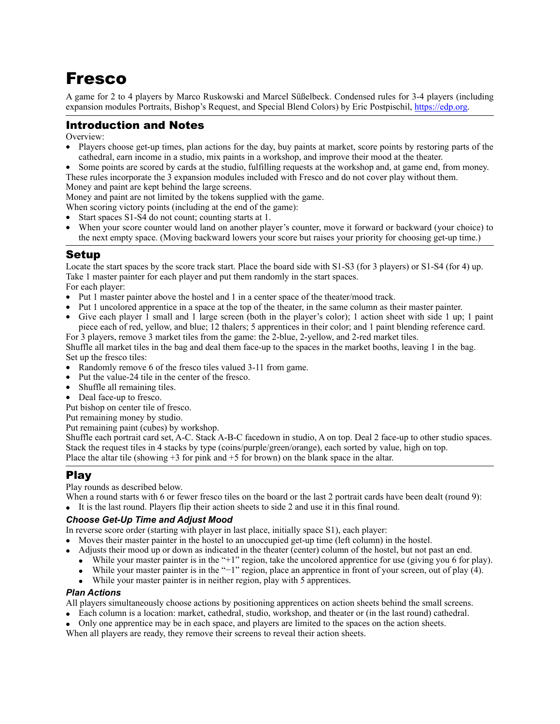# Fresco

A game for 2 to 4 players by Marco Ruskowski and Marcel Süßelbeck. Condensed rules for 3-4 players (including expansion modules Portraits, Bishop's Request, and Special Blend Colors) by Eric Postpischil,<https://edp.org>.

# Introduction and Notes

Overview:

- Players choose get-up times, plan actions for the day, buy paints at market, score points by restoring parts of the cathedral, earn income in a studio, mix paints in a workshop, and improve their mood at the theater.
- Some points are scored by cards at the studio, fulfilling requests at the workshop and, at game end, from money. These rules incorporate the 3 expansion modules included with Fresco and do not cover play without them.

Money and paint are kept behind the large screens.

Money and paint are not limited by the tokens supplied with the game.

When scoring victory points (including at the end of the game):

- Start spaces S1-S4 do not count; counting starts at 1.
- When your score counter would land on another player's counter, move it forward or backward (your choice) to the next empty space. (Moving backward lowers your score but raises your priority for choosing get-up time.)

### Setup

Locate the start spaces by the score track start. Place the board side with S1-S3 (for 3 players) or S1-S4 (for 4) up. Take 1 master painter for each player and put them randomly in the start spaces. For each player:

- Put 1 master painter above the hostel and 1 in a center space of the theater/mood track.
- Put 1 uncolored apprentice in a space at the top of the theater, in the same column as their master painter.
- Give each player 1 small and 1 large screen (both in the player's color); 1 action sheet with side 1 up; 1 paint piece each of red, yellow, and blue; 12 thalers; 5 apprentices in their color; and 1 paint blending reference card.

For 3 players, remove 3 market tiles from the game: the 2-blue, 2-yellow, and 2-red market tiles. Shuffle all market tiles in the bag and deal them face-up to the spaces in the market booths, leaving 1 in the bag. Set up the fresco tiles:

- Randomly remove 6 of the fresco tiles valued 3-11 from game.
- Put the value-24 tile in the center of the fresco.
- Shuffle all remaining tiles.
- Deal face-up to fresco.

Put bishop on center tile of fresco.

Put remaining money by studio.

Put remaining paint (cubes) by workshop.

Shuffle each portrait card set, A-C. Stack A-B-C facedown in studio, A on top. Deal 2 face-up to other studio spaces. Stack the request tiles in 4 stacks by type (coins/purple/green/orange), each sorted by value, high on top. Place the altar tile (showing  $+3$  for pink and  $+5$  for brown) on the blank space in the altar.

# Play

Play rounds as described below.

- When a round starts with 6 or fewer fresco tiles on the board or the last 2 portrait cards have been dealt (round 9):
- It is the last round. Players flip their action sheets to side 2 and use it in this final round.

#### *Choose Get-Up Time and Adjust Mood*

In reverse score order (starting with player in last place, initially space S1), each player:

- Moves their master painter in the hostel to an unoccupied get-up time (left column) in the hostel.
- Adjusts their mood up or down as indicated in the theater (center) column of the hostel, but not past an end.
- While your master painter is in the "+1" region, take the uncolored apprentice for use (giving you 6 for play).
- While your master painter is in the "−1" region, place an apprentice in front of your screen, out of play (4).
	- While your master painter is in neither region, play with 5 apprentices.

#### *Plan Actions*

All players simultaneously choose actions by positioning apprentices on action sheets behind the small screens.

- Each column is a location: market, cathedral, studio, workshop, and theater or (in the last round) cathedral.
- Only one apprentice may be in each space, and players are limited to the spaces on the action sheets.

When all players are ready, they remove their screens to reveal their action sheets.